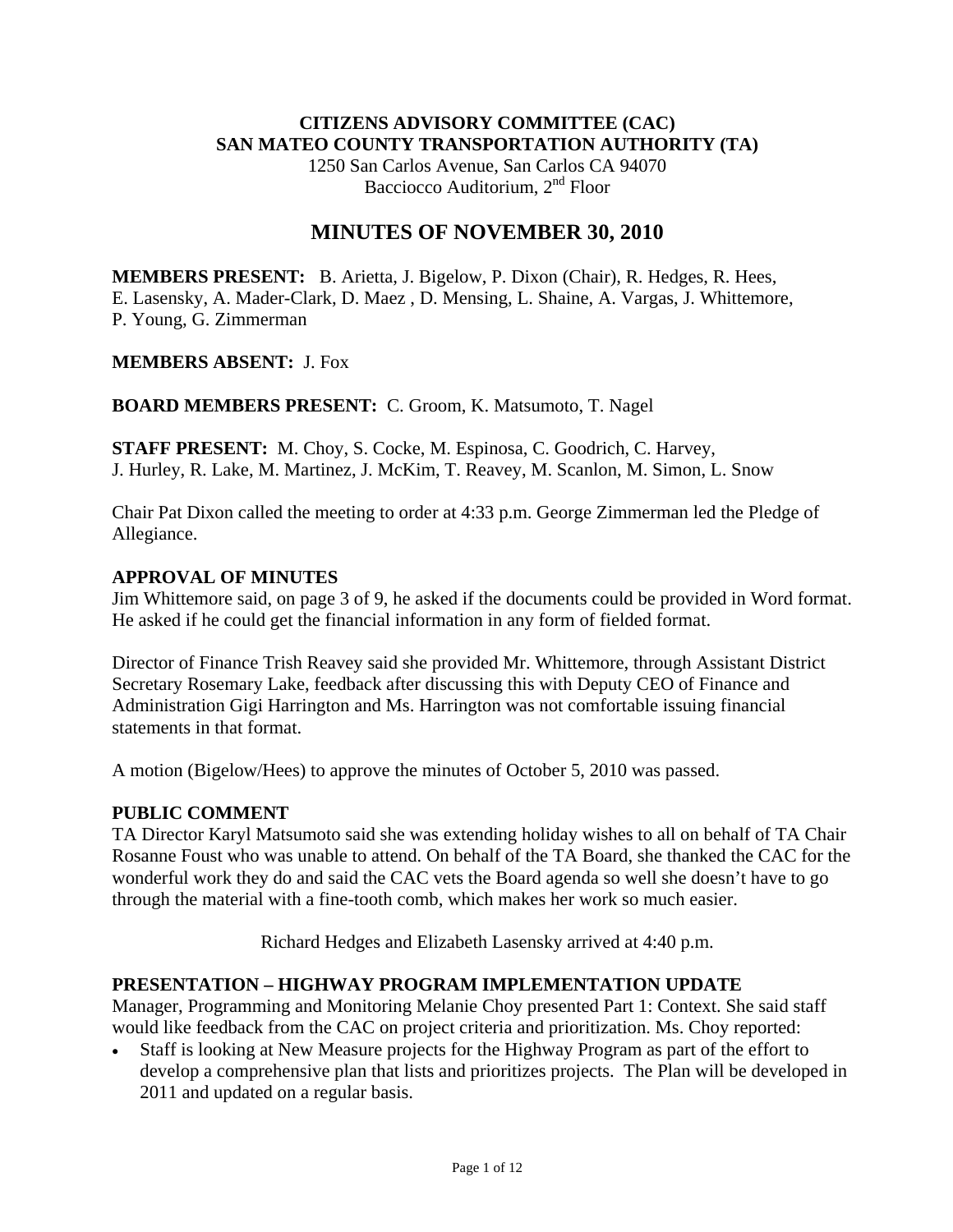## **CITIZENS ADVISORY COMMITTEE (CAC) SAN MATEO COUNTY TRANSPORTATION AUTHORITY (TA)**

1250 San Carlos Avenue, San Carlos CA 94070 Bacciocco Auditorium, 2<sup>nd</sup> Floor

# **MINUTES OF NOVEMBER 30, 2010**

**MEMBERS PRESENT:** B. Arietta, J. Bigelow, P. Dixon (Chair), R. Hedges, R. Hees, E. Lasensky, A. Mader-Clark, D. Maez , D. Mensing, L. Shaine, A. Vargas, J. Whittemore, P. Young, G. Zimmerman

#### **MEMBERS ABSENT:** J. Fox

**BOARD MEMBERS PRESENT:** C. Groom, K. Matsumoto, T. Nagel

**STAFF PRESENT:** M. Choy, S. Cocke, M. Espinosa, C. Goodrich, C. Harvey, J. Hurley, R. Lake, M. Martinez, J. McKim, T. Reavey, M. Scanlon, M. Simon, L. Snow

Chair Pat Dixon called the meeting to order at 4:33 p.m. George Zimmerman led the Pledge of Allegiance.

#### **APPROVAL OF MINUTES**

Jim Whittemore said, on page 3 of 9, he asked if the documents could be provided in Word format. He asked if he could get the financial information in any form of fielded format.

Director of Finance Trish Reavey said she provided Mr. Whittemore, through Assistant District Secretary Rosemary Lake, feedback after discussing this with Deputy CEO of Finance and Administration Gigi Harrington and Ms. Harrington was not comfortable issuing financial statements in that format.

A motion (Bigelow/Hees) to approve the minutes of October 5, 2010 was passed.

#### **PUBLIC COMMENT**

TA Director Karyl Matsumoto said she was extending holiday wishes to all on behalf of TA Chair Rosanne Foust who was unable to attend. On behalf of the TA Board, she thanked the CAC for the wonderful work they do and said the CAC vets the Board agenda so well she doesn't have to go through the material with a fine-tooth comb, which makes her work so much easier.

Richard Hedges and Elizabeth Lasensky arrived at 4:40 p.m.

## **PRESENTATION – HIGHWAY PROGRAM IMPLEMENTATION UPDATE**

Manager, Programming and Monitoring Melanie Choy presented Part 1: Context. She said staff would like feedback from the CAC on project criteria and prioritization. Ms. Choy reported:

• Staff is looking at New Measure projects for the Highway Program as part of the effort to develop a comprehensive plan that lists and prioritizes projects. The Plan will be developed in 2011 and updated on a regular basis.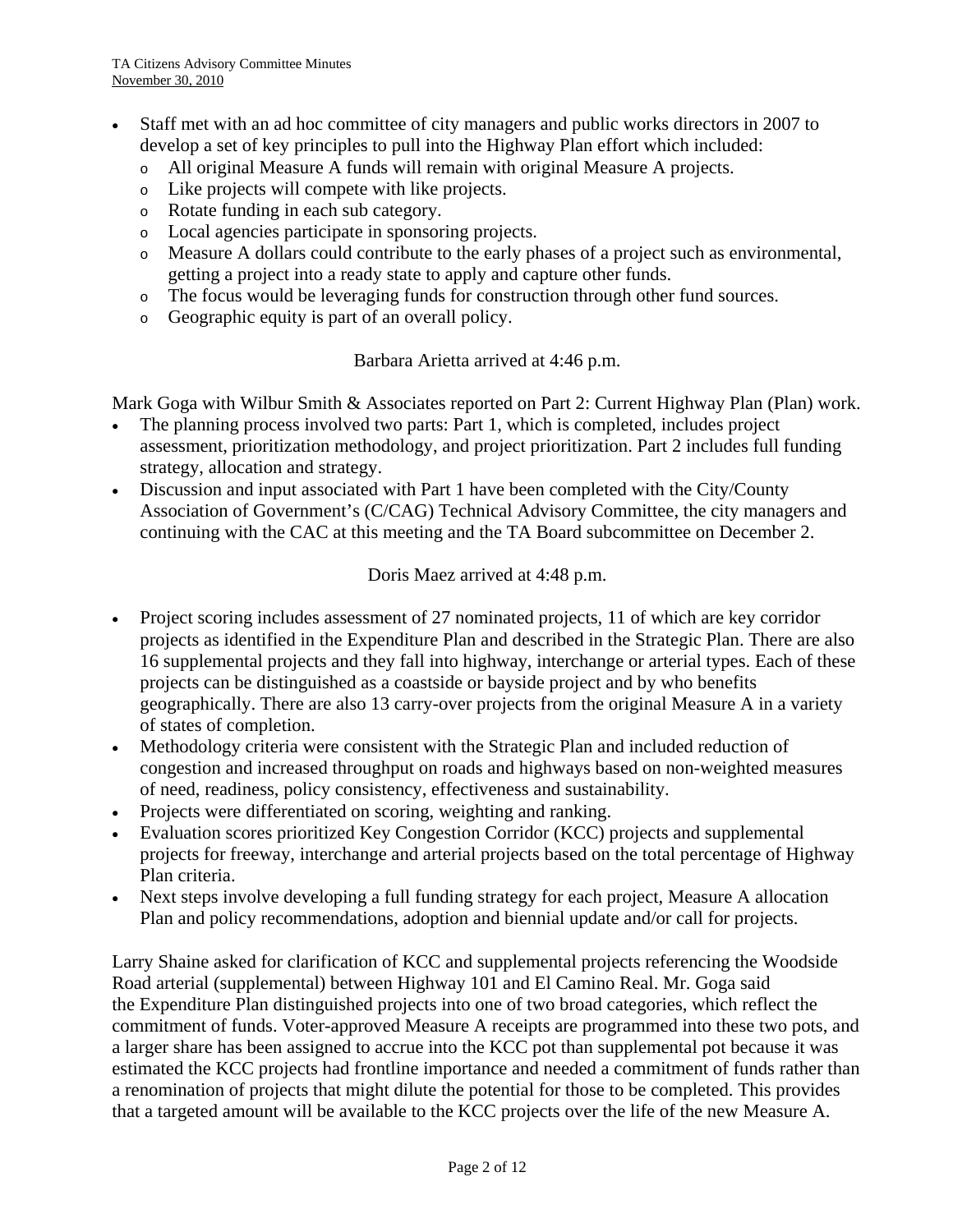- Staff met with an ad hoc committee of city managers and public works directors in 2007 to develop a set of key principles to pull into the Highway Plan effort which included:
	- o All original Measure A funds will remain with original Measure A projects.
	- o Like projects will compete with like projects.
	- o Rotate funding in each sub category.
	- o Local agencies participate in sponsoring projects.
	- o Measure A dollars could contribute to the early phases of a project such as environmental, getting a project into a ready state to apply and capture other funds.
	- o The focus would be leveraging funds for construction through other fund sources.
	- o Geographic equity is part of an overall policy.

#### Barbara Arietta arrived at 4:46 p.m.

Mark Goga with Wilbur Smith & Associates reported on Part 2: Current Highway Plan (Plan) work.

- The planning process involved two parts: Part 1, which is completed, includes project assessment, prioritization methodology, and project prioritization. Part 2 includes full funding strategy, allocation and strategy.
- Discussion and input associated with Part 1 have been completed with the City/County Association of Government's (C/CAG) Technical Advisory Committee, the city managers and continuing with the CAC at this meeting and the TA Board subcommittee on December 2.

Doris Maez arrived at 4:48 p.m.

- Project scoring includes assessment of 27 nominated projects, 11 of which are key corridor projects as identified in the Expenditure Plan and described in the Strategic Plan. There are also 16 supplemental projects and they fall into highway, interchange or arterial types. Each of these projects can be distinguished as a coastside or bayside project and by who benefits geographically. There are also 13 carry-over projects from the original Measure A in a variety of states of completion.
- Methodology criteria were consistent with the Strategic Plan and included reduction of congestion and increased throughput on roads and highways based on non-weighted measures of need, readiness, policy consistency, effectiveness and sustainability.
- Projects were differentiated on scoring, weighting and ranking.
- Evaluation scores prioritized Key Congestion Corridor (KCC) projects and supplemental projects for freeway, interchange and arterial projects based on the total percentage of Highway Plan criteria.
- Next steps involve developing a full funding strategy for each project, Measure A allocation Plan and policy recommendations, adoption and biennial update and/or call for projects.

Larry Shaine asked for clarification of KCC and supplemental projects referencing the Woodside Road arterial (supplemental) between Highway 101 and El Camino Real. Mr. Goga said the Expenditure Plan distinguished projects into one of two broad categories, which reflect the commitment of funds. Voter-approved Measure A receipts are programmed into these two pots, and a larger share has been assigned to accrue into the KCC pot than supplemental pot because it was estimated the KCC projects had frontline importance and needed a commitment of funds rather than a renomination of projects that might dilute the potential for those to be completed. This provides that a targeted amount will be available to the KCC projects over the life of the new Measure A.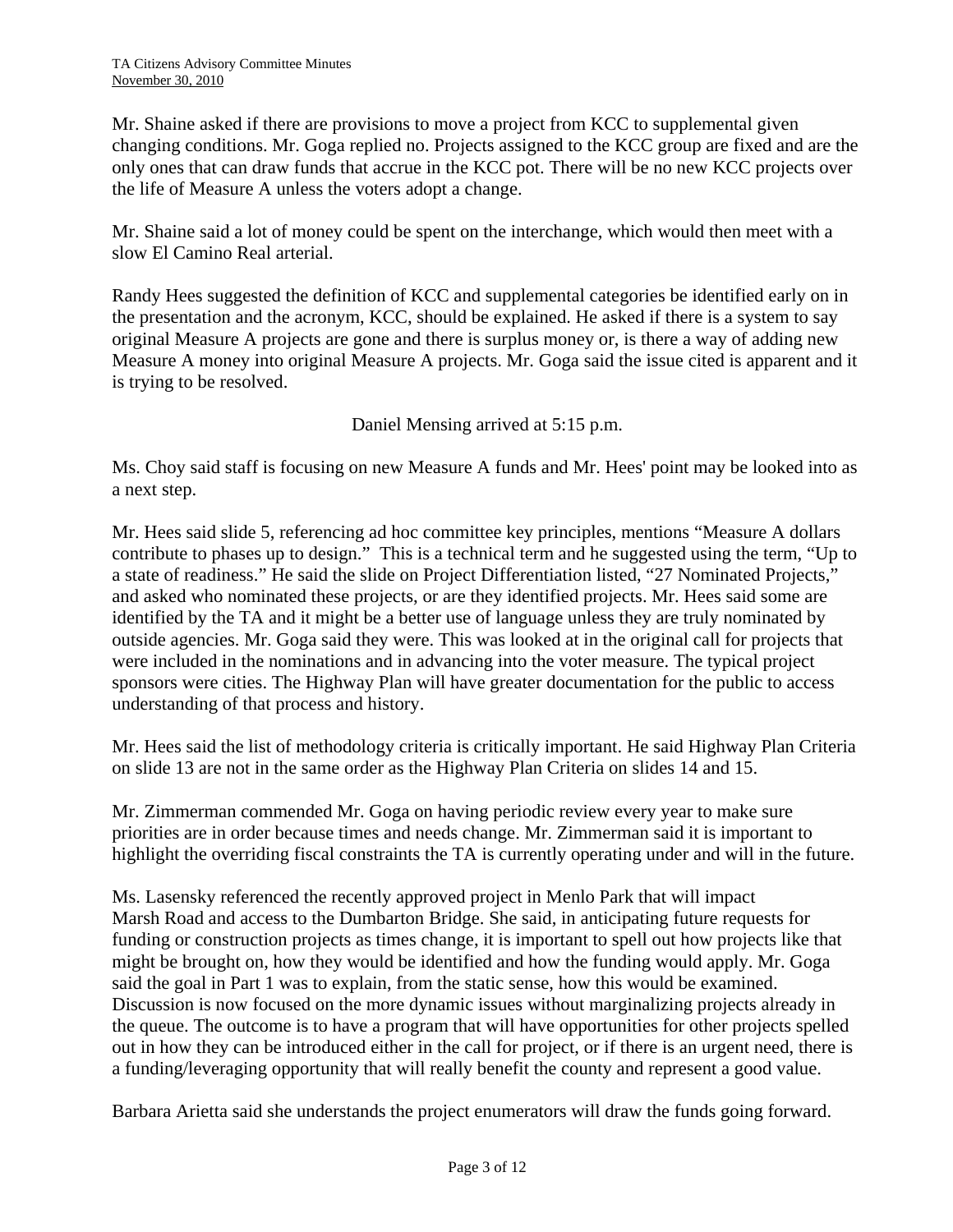Mr. Shaine asked if there are provisions to move a project from KCC to supplemental given changing conditions. Mr. Goga replied no. Projects assigned to the KCC group are fixed and are the only ones that can draw funds that accrue in the KCC pot. There will be no new KCC projects over the life of Measure A unless the voters adopt a change.

Mr. Shaine said a lot of money could be spent on the interchange, which would then meet with a slow El Camino Real arterial.

Randy Hees suggested the definition of KCC and supplemental categories be identified early on in the presentation and the acronym, KCC, should be explained. He asked if there is a system to say original Measure A projects are gone and there is surplus money or, is there a way of adding new Measure A money into original Measure A projects. Mr. Goga said the issue cited is apparent and it is trying to be resolved.

Daniel Mensing arrived at 5:15 p.m.

Ms. Choy said staff is focusing on new Measure A funds and Mr. Hees' point may be looked into as a next step.

Mr. Hees said slide 5, referencing ad hoc committee key principles, mentions "Measure A dollars contribute to phases up to design." This is a technical term and he suggested using the term, "Up to a state of readiness." He said the slide on Project Differentiation listed, "27 Nominated Projects," and asked who nominated these projects, or are they identified projects. Mr. Hees said some are identified by the TA and it might be a better use of language unless they are truly nominated by outside agencies. Mr. Goga said they were. This was looked at in the original call for projects that were included in the nominations and in advancing into the voter measure. The typical project sponsors were cities. The Highway Plan will have greater documentation for the public to access understanding of that process and history.

Mr. Hees said the list of methodology criteria is critically important. He said Highway Plan Criteria on slide 13 are not in the same order as the Highway Plan Criteria on slides 14 and 15.

Mr. Zimmerman commended Mr. Goga on having periodic review every year to make sure priorities are in order because times and needs change. Mr. Zimmerman said it is important to highlight the overriding fiscal constraints the TA is currently operating under and will in the future.

Ms. Lasensky referenced the recently approved project in Menlo Park that will impact Marsh Road and access to the Dumbarton Bridge. She said, in anticipating future requests for funding or construction projects as times change, it is important to spell out how projects like that might be brought on, how they would be identified and how the funding would apply. Mr. Goga said the goal in Part 1 was to explain, from the static sense, how this would be examined. Discussion is now focused on the more dynamic issues without marginalizing projects already in the queue. The outcome is to have a program that will have opportunities for other projects spelled out in how they can be introduced either in the call for project, or if there is an urgent need, there is a funding/leveraging opportunity that will really benefit the county and represent a good value.

Barbara Arietta said she understands the project enumerators will draw the funds going forward.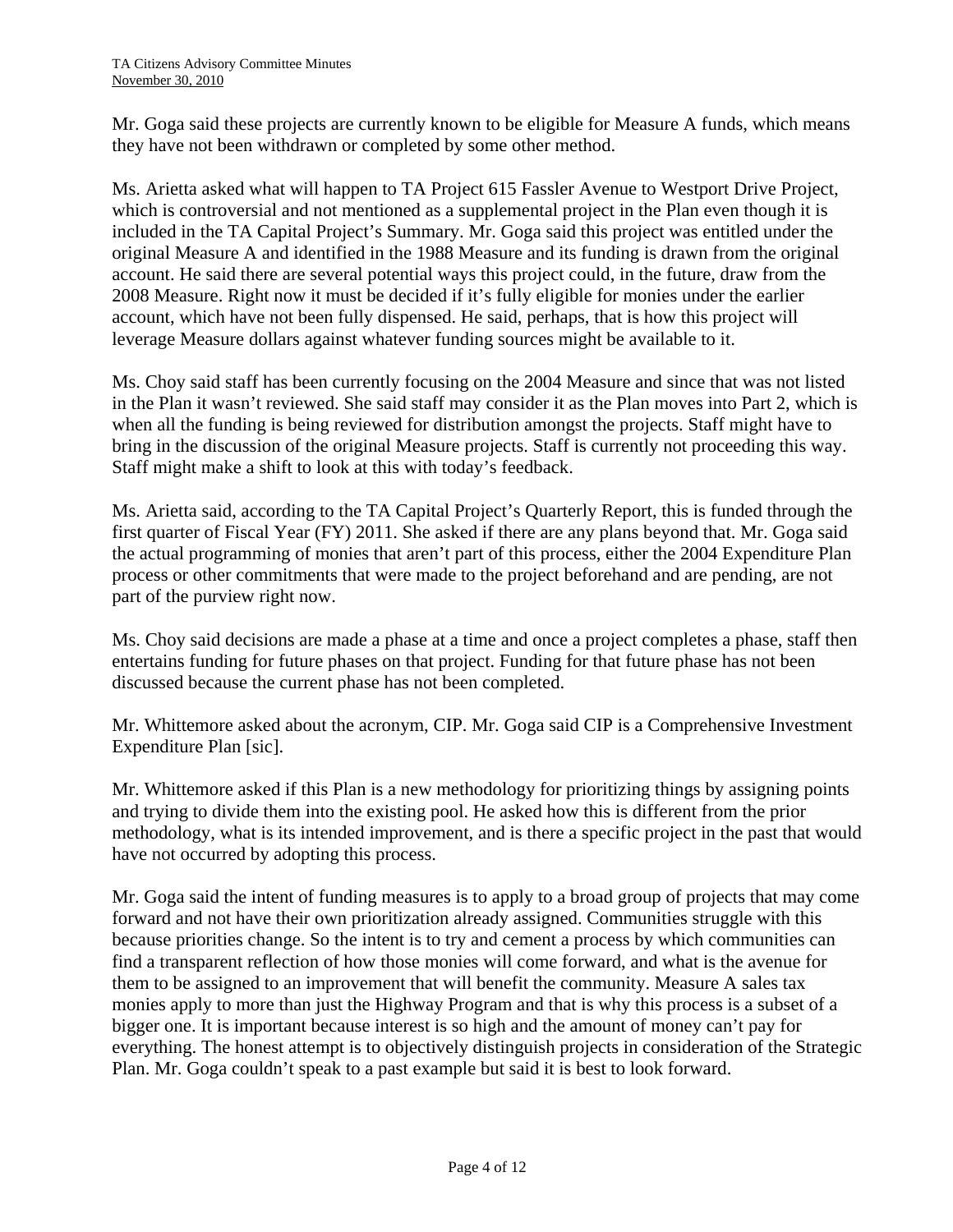Mr. Goga said these projects are currently known to be eligible for Measure A funds, which means they have not been withdrawn or completed by some other method.

Ms. Arietta asked what will happen to TA Project 615 Fassler Avenue to Westport Drive Project, which is controversial and not mentioned as a supplemental project in the Plan even though it is included in the TA Capital Project's Summary. Mr. Goga said this project was entitled under the original Measure A and identified in the 1988 Measure and its funding is drawn from the original account. He said there are several potential ways this project could, in the future, draw from the 2008 Measure. Right now it must be decided if it's fully eligible for monies under the earlier account, which have not been fully dispensed. He said, perhaps, that is how this project will leverage Measure dollars against whatever funding sources might be available to it.

Ms. Choy said staff has been currently focusing on the 2004 Measure and since that was not listed in the Plan it wasn't reviewed. She said staff may consider it as the Plan moves into Part 2, which is when all the funding is being reviewed for distribution amongst the projects. Staff might have to bring in the discussion of the original Measure projects. Staff is currently not proceeding this way. Staff might make a shift to look at this with today's feedback.

Ms. Arietta said, according to the TA Capital Project's Quarterly Report, this is funded through the first quarter of Fiscal Year (FY) 2011. She asked if there are any plans beyond that. Mr. Goga said the actual programming of monies that aren't part of this process, either the 2004 Expenditure Plan process or other commitments that were made to the project beforehand and are pending, are not part of the purview right now.

Ms. Choy said decisions are made a phase at a time and once a project completes a phase, staff then entertains funding for future phases on that project. Funding for that future phase has not been discussed because the current phase has not been completed.

Mr. Whittemore asked about the acronym, CIP. Mr. Goga said CIP is a Comprehensive Investment Expenditure Plan [sic].

Mr. Whittemore asked if this Plan is a new methodology for prioritizing things by assigning points and trying to divide them into the existing pool. He asked how this is different from the prior methodology, what is its intended improvement, and is there a specific project in the past that would have not occurred by adopting this process.

Mr. Goga said the intent of funding measures is to apply to a broad group of projects that may come forward and not have their own prioritization already assigned. Communities struggle with this because priorities change. So the intent is to try and cement a process by which communities can find a transparent reflection of how those monies will come forward, and what is the avenue for them to be assigned to an improvement that will benefit the community. Measure A sales tax monies apply to more than just the Highway Program and that is why this process is a subset of a bigger one. It is important because interest is so high and the amount of money can't pay for everything. The honest attempt is to objectively distinguish projects in consideration of the Strategic Plan. Mr. Goga couldn't speak to a past example but said it is best to look forward.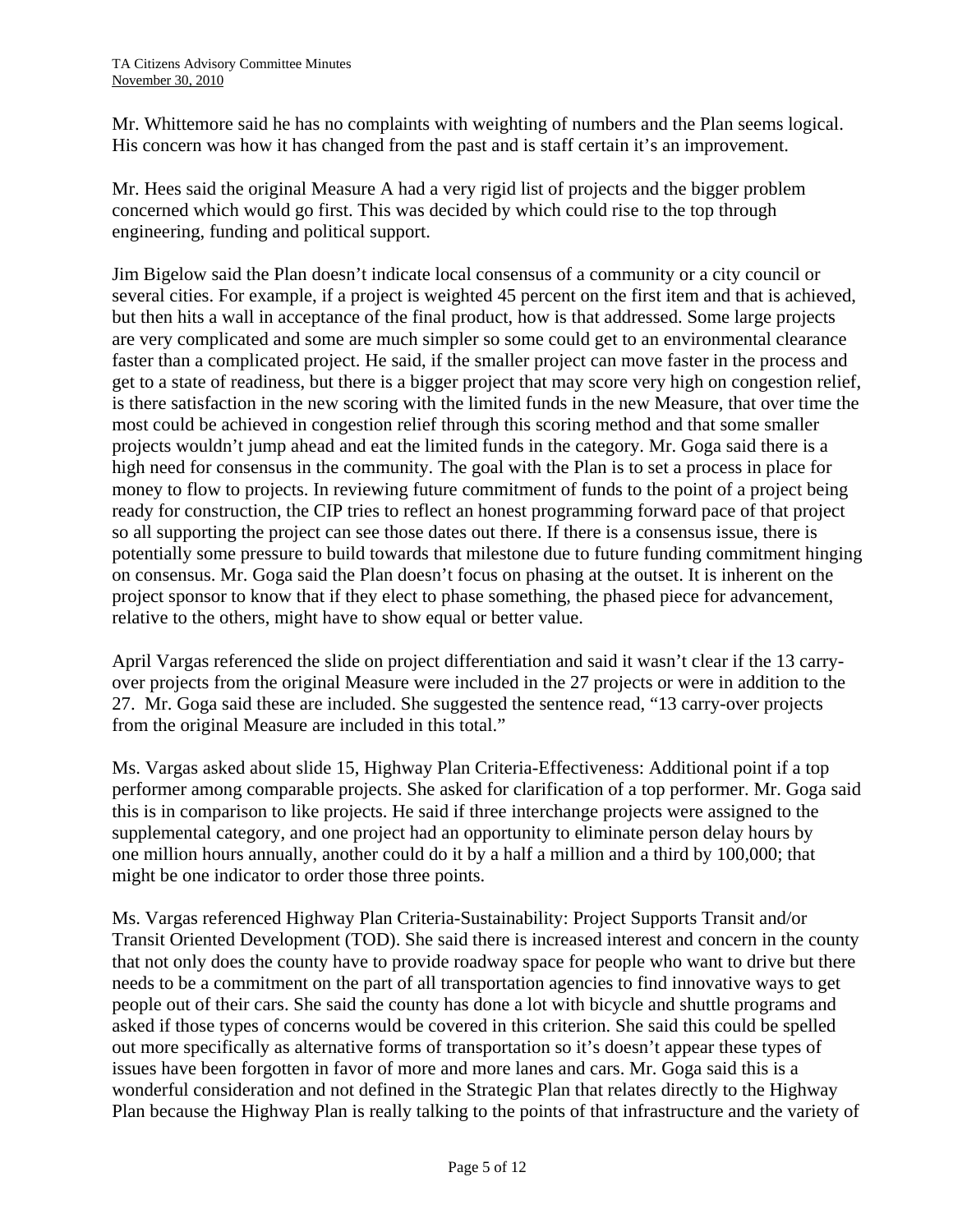Mr. Whittemore said he has no complaints with weighting of numbers and the Plan seems logical. His concern was how it has changed from the past and is staff certain it's an improvement.

Mr. Hees said the original Measure A had a very rigid list of projects and the bigger problem concerned which would go first. This was decided by which could rise to the top through engineering, funding and political support.

Jim Bigelow said the Plan doesn't indicate local consensus of a community or a city council or several cities. For example, if a project is weighted 45 percent on the first item and that is achieved, but then hits a wall in acceptance of the final product, how is that addressed. Some large projects are very complicated and some are much simpler so some could get to an environmental clearance faster than a complicated project. He said, if the smaller project can move faster in the process and get to a state of readiness, but there is a bigger project that may score very high on congestion relief, is there satisfaction in the new scoring with the limited funds in the new Measure, that over time the most could be achieved in congestion relief through this scoring method and that some smaller projects wouldn't jump ahead and eat the limited funds in the category. Mr. Goga said there is a high need for consensus in the community. The goal with the Plan is to set a process in place for money to flow to projects. In reviewing future commitment of funds to the point of a project being ready for construction, the CIP tries to reflect an honest programming forward pace of that project so all supporting the project can see those dates out there. If there is a consensus issue, there is potentially some pressure to build towards that milestone due to future funding commitment hinging on consensus. Mr. Goga said the Plan doesn't focus on phasing at the outset. It is inherent on the project sponsor to know that if they elect to phase something, the phased piece for advancement, relative to the others, might have to show equal or better value.

April Vargas referenced the slide on project differentiation and said it wasn't clear if the 13 carryover projects from the original Measure were included in the 27 projects or were in addition to the 27. Mr. Goga said these are included. She suggested the sentence read, "13 carry-over projects from the original Measure are included in this total."

Ms. Vargas asked about slide 15, Highway Plan Criteria-Effectiveness: Additional point if a top performer among comparable projects. She asked for clarification of a top performer. Mr. Goga said this is in comparison to like projects. He said if three interchange projects were assigned to the supplemental category, and one project had an opportunity to eliminate person delay hours by one million hours annually, another could do it by a half a million and a third by 100,000; that might be one indicator to order those three points.

Ms. Vargas referenced Highway Plan Criteria-Sustainability: Project Supports Transit and/or Transit Oriented Development (TOD). She said there is increased interest and concern in the county that not only does the county have to provide roadway space for people who want to drive but there needs to be a commitment on the part of all transportation agencies to find innovative ways to get people out of their cars. She said the county has done a lot with bicycle and shuttle programs and asked if those types of concerns would be covered in this criterion. She said this could be spelled out more specifically as alternative forms of transportation so it's doesn't appear these types of issues have been forgotten in favor of more and more lanes and cars. Mr. Goga said this is a wonderful consideration and not defined in the Strategic Plan that relates directly to the Highway Plan because the Highway Plan is really talking to the points of that infrastructure and the variety of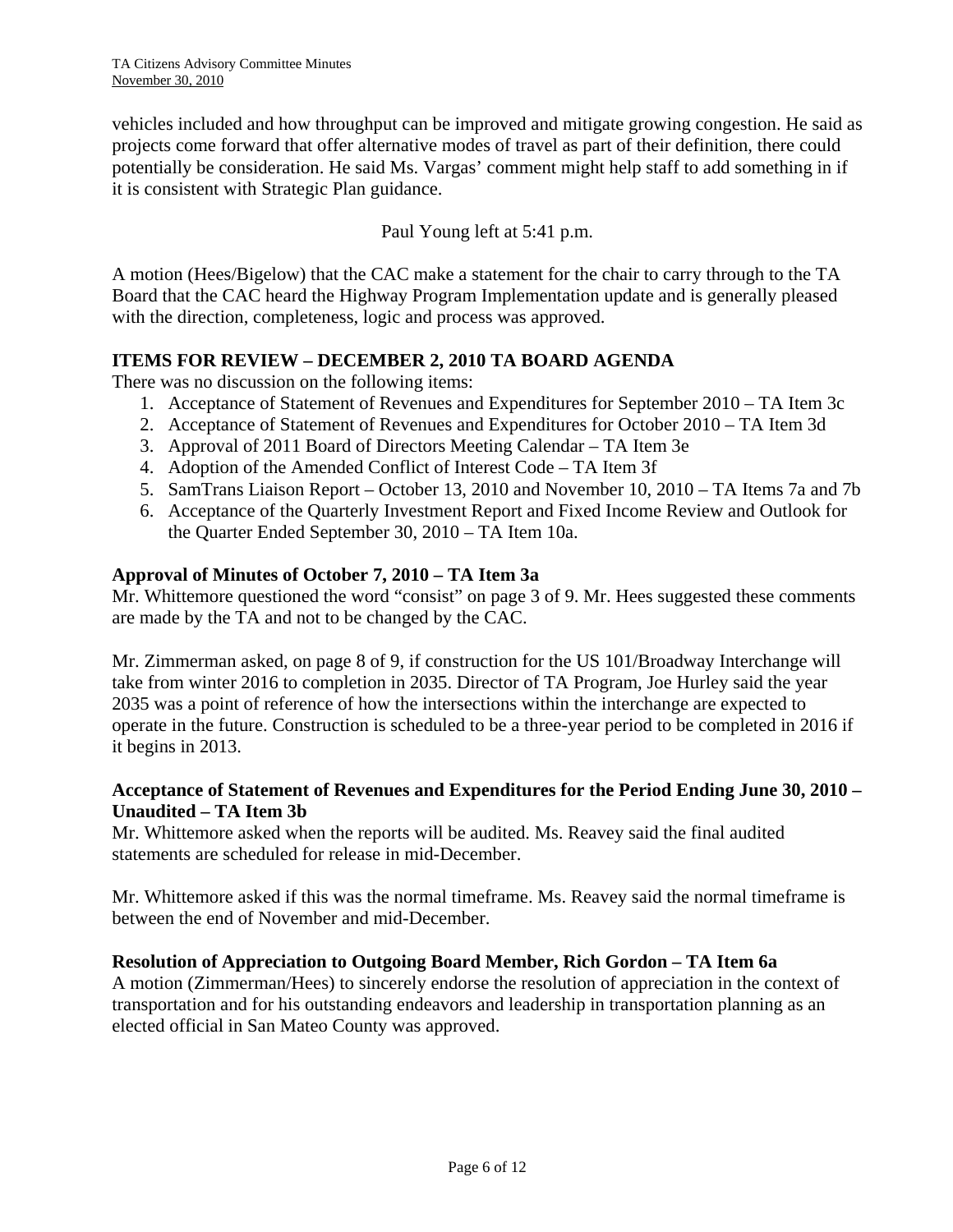vehicles included and how throughput can be improved and mitigate growing congestion. He said as projects come forward that offer alternative modes of travel as part of their definition, there could potentially be consideration. He said Ms. Vargas' comment might help staff to add something in if it is consistent with Strategic Plan guidance.

Paul Young left at 5:41 p.m.

A motion (Hees/Bigelow) that the CAC make a statement for the chair to carry through to the TA Board that the CAC heard the Highway Program Implementation update and is generally pleased with the direction, completeness, logic and process was approved.

## **ITEMS FOR REVIEW – DECEMBER 2, 2010 TA BOARD AGENDA**

There was no discussion on the following items:

- 1. Acceptance of Statement of Revenues and Expenditures for September 2010 TA Item 3c
- 2. Acceptance of Statement of Revenues and Expenditures for October 2010 TA Item 3d
- 3. Approval of 2011 Board of Directors Meeting Calendar TA Item 3e
- 4. Adoption of the Amended Conflict of Interest Code TA Item 3f
- 5. SamTrans Liaison Report October 13, 2010 and November 10, 2010 TA Items 7a and 7b
- 6. Acceptance of the Quarterly Investment Report and Fixed Income Review and Outlook for the Quarter Ended September 30, 2010 – TA Item 10a.

#### **Approval of Minutes of October 7, 2010 – TA Item 3a**

Mr. Whittemore questioned the word "consist" on page 3 of 9. Mr. Hees suggested these comments are made by the TA and not to be changed by the CAC.

Mr. Zimmerman asked, on page 8 of 9, if construction for the US 101/Broadway Interchange will take from winter 2016 to completion in 2035. Director of TA Program, Joe Hurley said the year 2035 was a point of reference of how the intersections within the interchange are expected to operate in the future. Construction is scheduled to be a three-year period to be completed in 2016 if it begins in 2013.

## **Acceptance of Statement of Revenues and Expenditures for the Period Ending June 30, 2010 – Unaudited – TA Item 3b**

Mr. Whittemore asked when the reports will be audited. Ms. Reavey said the final audited statements are scheduled for release in mid-December.

Mr. Whittemore asked if this was the normal timeframe. Ms. Reavey said the normal timeframe is between the end of November and mid-December.

#### **Resolution of Appreciation to Outgoing Board Member, Rich Gordon – TA Item 6a**

A motion (Zimmerman/Hees) to sincerely endorse the resolution of appreciation in the context of transportation and for his outstanding endeavors and leadership in transportation planning as an elected official in San Mateo County was approved.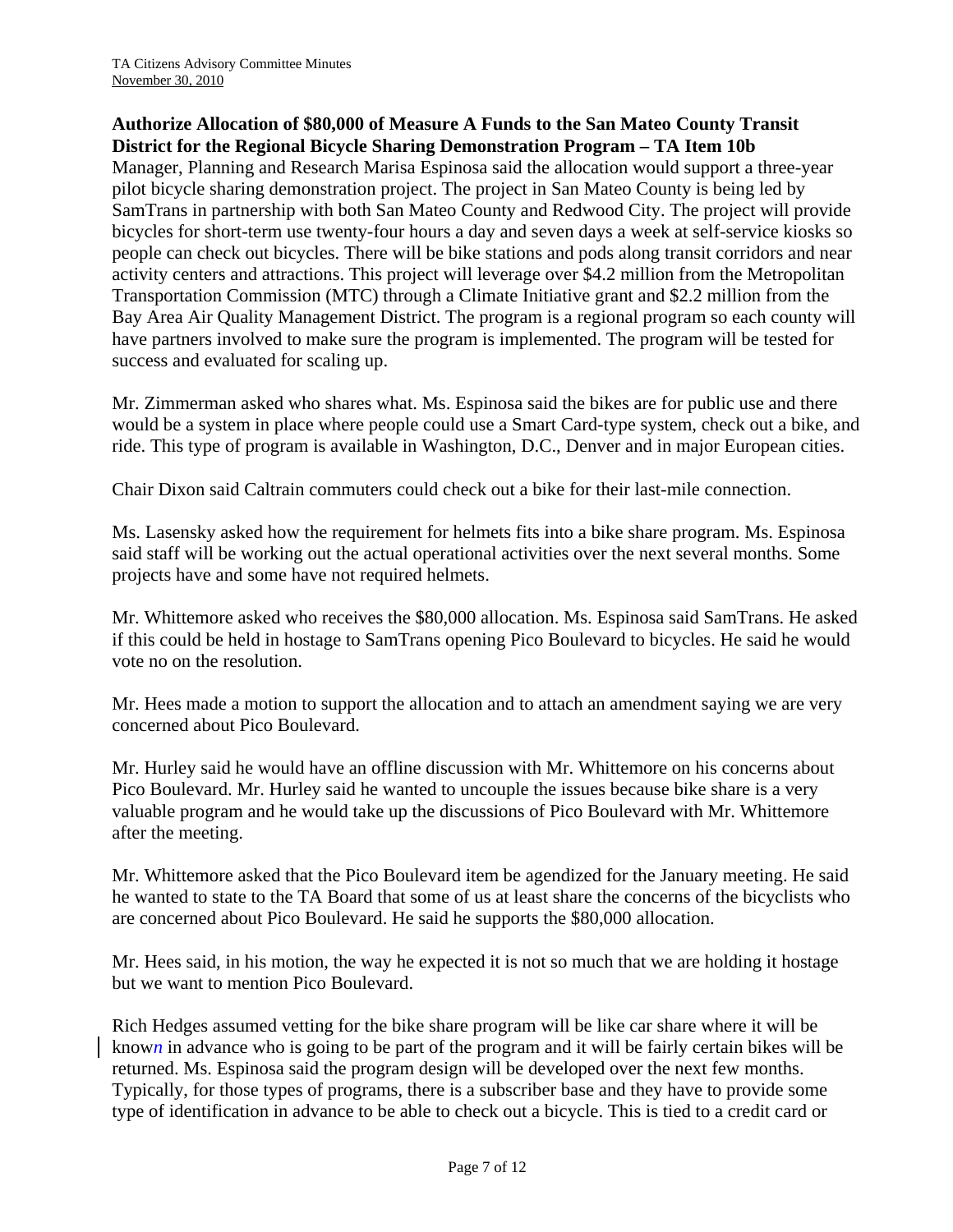### **Authorize Allocation of \$80,000 of Measure A Funds to the San Mateo County Transit District for the Regional Bicycle Sharing Demonstration Program – TA Item 10b**

Manager, Planning and Research Marisa Espinosa said the allocation would support a three-year pilot bicycle sharing demonstration project. The project in San Mateo County is being led by SamTrans in partnership with both San Mateo County and Redwood City. The project will provide bicycles for short-term use twenty-four hours a day and seven days a week at self-service kiosks so people can check out bicycles. There will be bike stations and pods along transit corridors and near activity centers and attractions. This project will leverage over \$4.2 million from the Metropolitan Transportation Commission (MTC) through a Climate Initiative grant and \$2.2 million from the Bay Area Air Quality Management District. The program is a regional program so each county will have partners involved to make sure the program is implemented. The program will be tested for success and evaluated for scaling up.

Mr. Zimmerman asked who shares what. Ms. Espinosa said the bikes are for public use and there would be a system in place where people could use a Smart Card-type system, check out a bike, and ride. This type of program is available in Washington, D.C., Denver and in major European cities.

Chair Dixon said Caltrain commuters could check out a bike for their last-mile connection.

Ms. Lasensky asked how the requirement for helmets fits into a bike share program. Ms. Espinosa said staff will be working out the actual operational activities over the next several months. Some projects have and some have not required helmets.

Mr. Whittemore asked who receives the \$80,000 allocation. Ms. Espinosa said SamTrans. He asked if this could be held in hostage to SamTrans opening Pico Boulevard to bicycles. He said he would vote no on the resolution.

Mr. Hees made a motion to support the allocation and to attach an amendment saying we are very concerned about Pico Boulevard.

Mr. Hurley said he would have an offline discussion with Mr. Whittemore on his concerns about Pico Boulevard. Mr. Hurley said he wanted to uncouple the issues because bike share is a very valuable program and he would take up the discussions of Pico Boulevard with Mr. Whittemore after the meeting.

Mr. Whittemore asked that the Pico Boulevard item be agendized for the January meeting. He said he wanted to state to the TA Board that some of us at least share the concerns of the bicyclists who are concerned about Pico Boulevard. He said he supports the \$80,000 allocation.

Mr. Hees said, in his motion, the way he expected it is not so much that we are holding it hostage but we want to mention Pico Boulevard.

Rich Hedges assumed vetting for the bike share program will be like car share where it will be know*n* in advance who is going to be part of the program and it will be fairly certain bikes will be returned. Ms. Espinosa said the program design will be developed over the next few months. Typically, for those types of programs, there is a subscriber base and they have to provide some type of identification in advance to be able to check out a bicycle. This is tied to a credit card or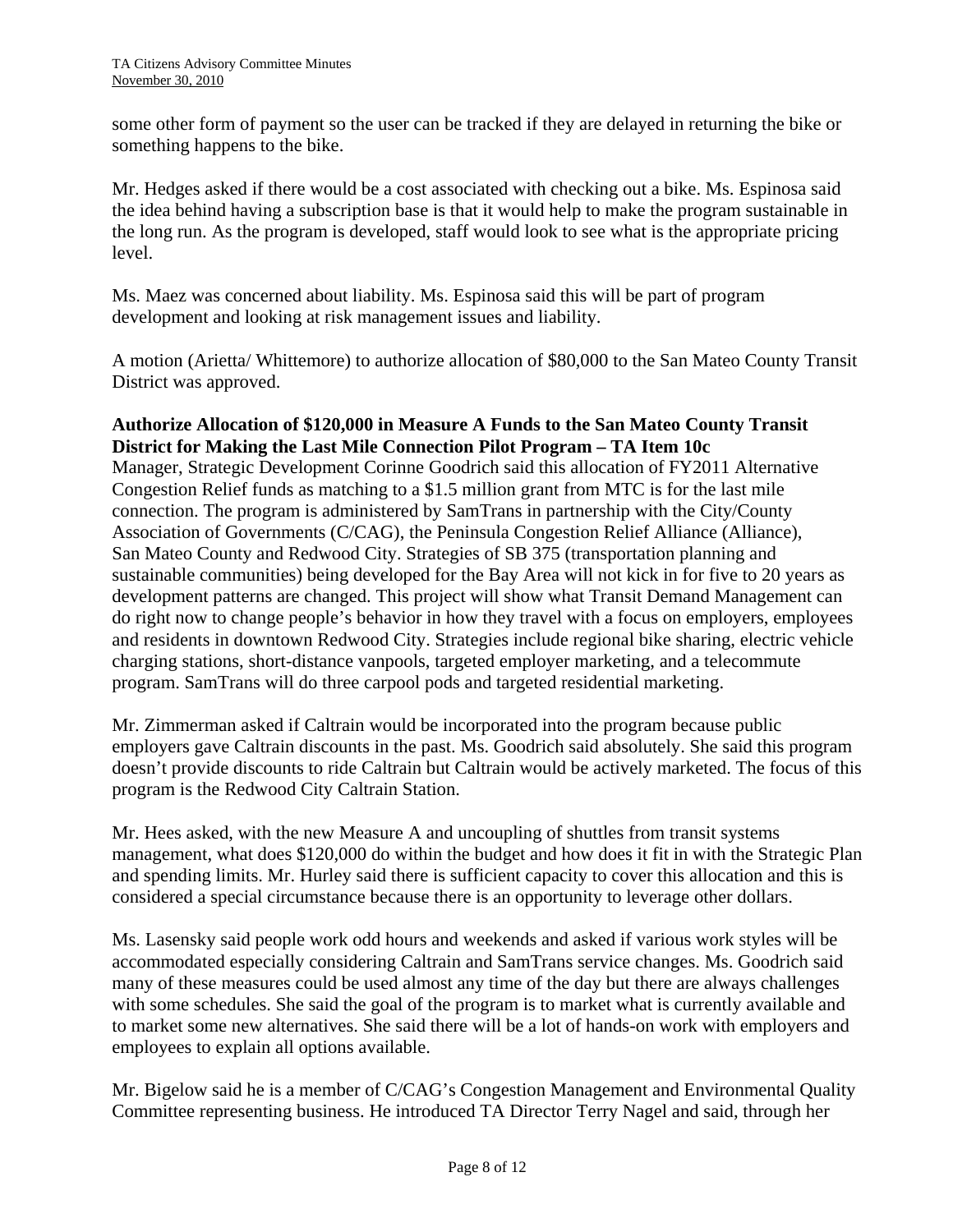some other form of payment so the user can be tracked if they are delayed in returning the bike or something happens to the bike.

Mr. Hedges asked if there would be a cost associated with checking out a bike. Ms. Espinosa said the idea behind having a subscription base is that it would help to make the program sustainable in the long run. As the program is developed, staff would look to see what is the appropriate pricing level.

Ms. Maez was concerned about liability. Ms. Espinosa said this will be part of program development and looking at risk management issues and liability.

A motion (Arietta/ Whittemore) to authorize allocation of \$80,000 to the San Mateo County Transit District was approved.

## **Authorize Allocation of \$120,000 in Measure A Funds to the San Mateo County Transit District for Making the Last Mile Connection Pilot Program – TA Item 10c**

Manager, Strategic Development Corinne Goodrich said this allocation of FY2011 Alternative Congestion Relief funds as matching to a \$1.5 million grant from MTC is for the last mile connection. The program is administered by SamTrans in partnership with the City/County Association of Governments (C/CAG), the Peninsula Congestion Relief Alliance (Alliance), San Mateo County and Redwood City. Strategies of SB 375 (transportation planning and sustainable communities) being developed for the Bay Area will not kick in for five to 20 years as development patterns are changed. This project will show what Transit Demand Management can do right now to change people's behavior in how they travel with a focus on employers, employees and residents in downtown Redwood City. Strategies include regional bike sharing, electric vehicle charging stations, short-distance vanpools, targeted employer marketing, and a telecommute program. SamTrans will do three carpool pods and targeted residential marketing.

Mr. Zimmerman asked if Caltrain would be incorporated into the program because public employers gave Caltrain discounts in the past. Ms. Goodrich said absolutely. She said this program doesn't provide discounts to ride Caltrain but Caltrain would be actively marketed. The focus of this program is the Redwood City Caltrain Station.

Mr. Hees asked, with the new Measure A and uncoupling of shuttles from transit systems management, what does \$120,000 do within the budget and how does it fit in with the Strategic Plan and spending limits. Mr. Hurley said there is sufficient capacity to cover this allocation and this is considered a special circumstance because there is an opportunity to leverage other dollars.

Ms. Lasensky said people work odd hours and weekends and asked if various work styles will be accommodated especially considering Caltrain and SamTrans service changes. Ms. Goodrich said many of these measures could be used almost any time of the day but there are always challenges with some schedules. She said the goal of the program is to market what is currently available and to market some new alternatives. She said there will be a lot of hands-on work with employers and employees to explain all options available.

Mr. Bigelow said he is a member of C/CAG's Congestion Management and Environmental Quality Committee representing business. He introduced TA Director Terry Nagel and said, through her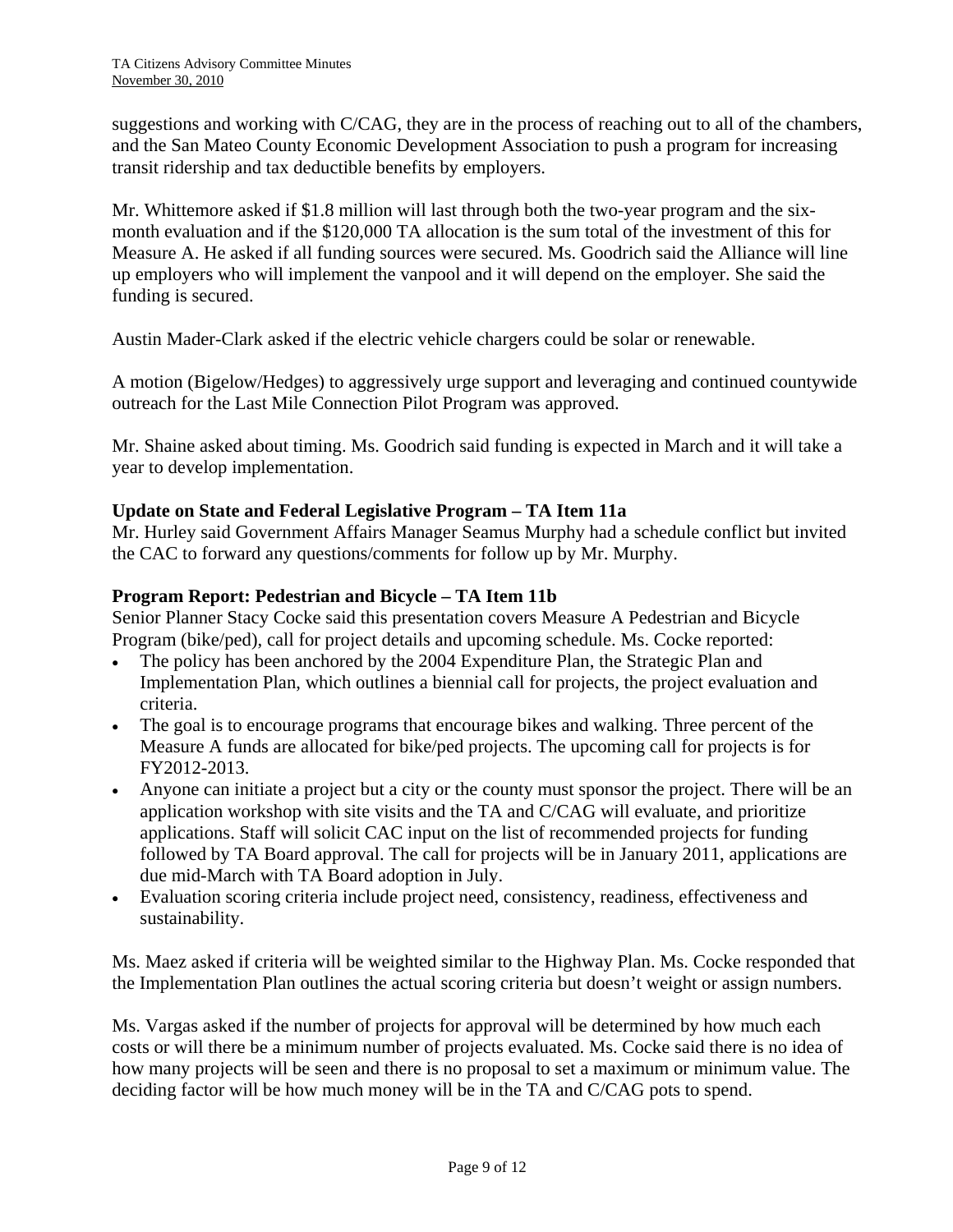suggestions and working with C/CAG, they are in the process of reaching out to all of the chambers, and the San Mateo County Economic Development Association to push a program for increasing transit ridership and tax deductible benefits by employers.

Mr. Whittemore asked if \$1.8 million will last through both the two-year program and the sixmonth evaluation and if the \$120,000 TA allocation is the sum total of the investment of this for Measure A. He asked if all funding sources were secured. Ms. Goodrich said the Alliance will line up employers who will implement the vanpool and it will depend on the employer. She said the funding is secured.

Austin Mader-Clark asked if the electric vehicle chargers could be solar or renewable.

A motion (Bigelow/Hedges) to aggressively urge support and leveraging and continued countywide outreach for the Last Mile Connection Pilot Program was approved.

Mr. Shaine asked about timing. Ms. Goodrich said funding is expected in March and it will take a year to develop implementation.

## **Update on State and Federal Legislative Program – TA Item 11a**

Mr. Hurley said Government Affairs Manager Seamus Murphy had a schedule conflict but invited the CAC to forward any questions/comments for follow up by Mr. Murphy.

#### **Program Report: Pedestrian and Bicycle – TA Item 11b**

Senior Planner Stacy Cocke said this presentation covers Measure A Pedestrian and Bicycle Program (bike/ped), call for project details and upcoming schedule. Ms. Cocke reported:

- The policy has been anchored by the 2004 Expenditure Plan, the Strategic Plan and Implementation Plan, which outlines a biennial call for projects, the project evaluation and criteria.
- The goal is to encourage programs that encourage bikes and walking. Three percent of the Measure A funds are allocated for bike/ped projects. The upcoming call for projects is for FY2012-2013.
- Anyone can initiate a project but a city or the county must sponsor the project. There will be an application workshop with site visits and the TA and C/CAG will evaluate, and prioritize applications. Staff will solicit CAC input on the list of recommended projects for funding followed by TA Board approval. The call for projects will be in January 2011, applications are due mid-March with TA Board adoption in July.
- Evaluation scoring criteria include project need, consistency, readiness, effectiveness and sustainability.

Ms. Maez asked if criteria will be weighted similar to the Highway Plan. Ms. Cocke responded that the Implementation Plan outlines the actual scoring criteria but doesn't weight or assign numbers.

Ms. Vargas asked if the number of projects for approval will be determined by how much each costs or will there be a minimum number of projects evaluated. Ms. Cocke said there is no idea of how many projects will be seen and there is no proposal to set a maximum or minimum value. The deciding factor will be how much money will be in the TA and C/CAG pots to spend.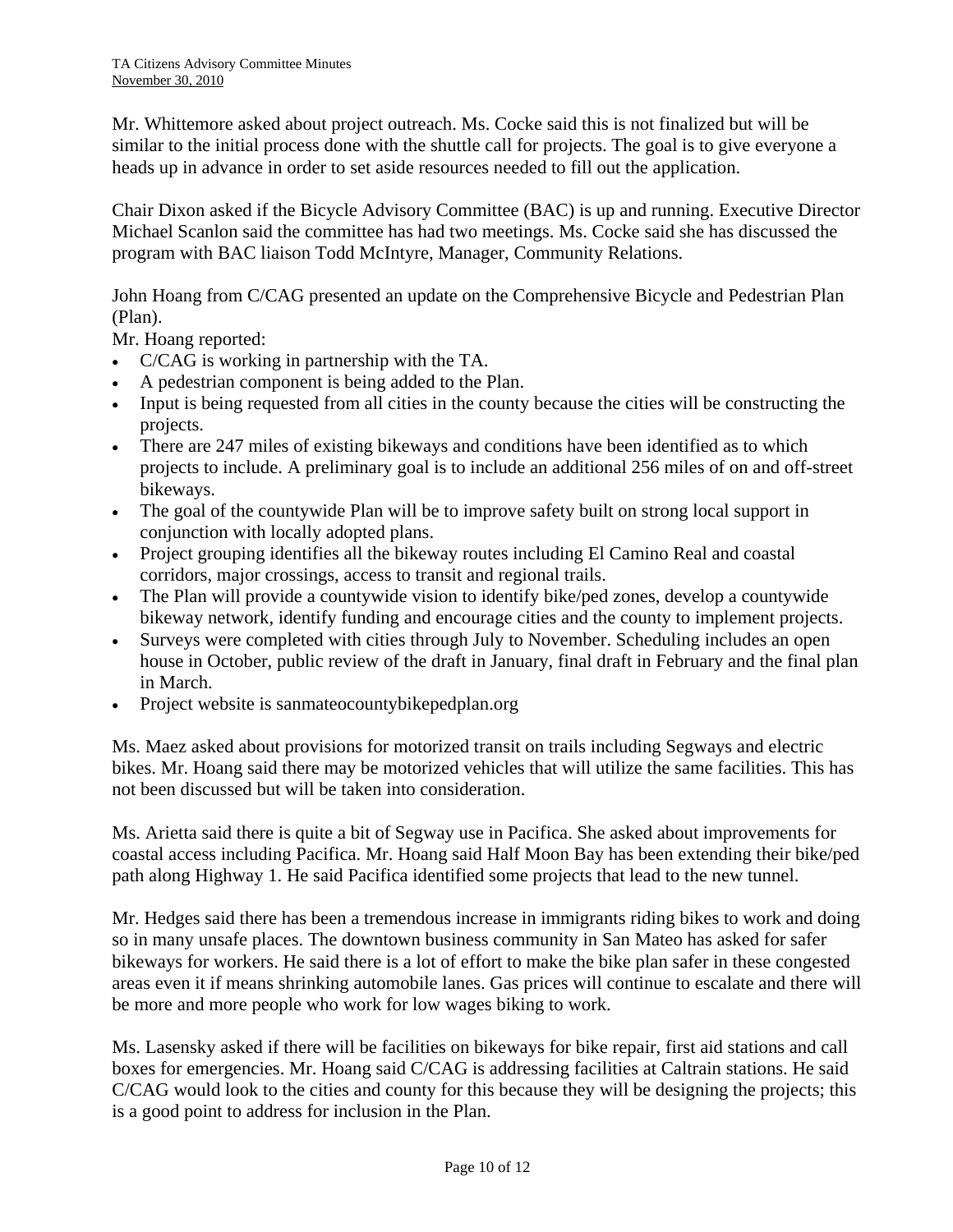Mr. Whittemore asked about project outreach. Ms. Cocke said this is not finalized but will be similar to the initial process done with the shuttle call for projects. The goal is to give everyone a heads up in advance in order to set aside resources needed to fill out the application.

Chair Dixon asked if the Bicycle Advisory Committee (BAC) is up and running. Executive Director Michael Scanlon said the committee has had two meetings. Ms. Cocke said she has discussed the program with BAC liaison Todd McIntyre, Manager, Community Relations.

John Hoang from C/CAG presented an update on the Comprehensive Bicycle and Pedestrian Plan (Plan).

Mr. Hoang reported:

- C/CAG is working in partnership with the TA.
- A pedestrian component is being added to the Plan.
- Input is being requested from all cities in the county because the cities will be constructing the projects.
- There are 247 miles of existing bikeways and conditions have been identified as to which projects to include. A preliminary goal is to include an additional 256 miles of on and off-street bikeways.
- The goal of the countywide Plan will be to improve safety built on strong local support in conjunction with locally adopted plans.
- Project grouping identifies all the bikeway routes including El Camino Real and coastal corridors, major crossings, access to transit and regional trails.
- The Plan will provide a countywide vision to identify bike/ped zones, develop a countywide bikeway network, identify funding and encourage cities and the county to implement projects.
- Surveys were completed with cities through July to November. Scheduling includes an open house in October, public review of the draft in January, final draft in February and the final plan in March.
- Project website is sanmateocountybikepedplan.org

Ms. Maez asked about provisions for motorized transit on trails including Segways and electric bikes. Mr. Hoang said there may be motorized vehicles that will utilize the same facilities. This has not been discussed but will be taken into consideration.

Ms. Arietta said there is quite a bit of Segway use in Pacifica. She asked about improvements for coastal access including Pacifica. Mr. Hoang said Half Moon Bay has been extending their bike/ped path along Highway 1. He said Pacifica identified some projects that lead to the new tunnel.

Mr. Hedges said there has been a tremendous increase in immigrants riding bikes to work and doing so in many unsafe places. The downtown business community in San Mateo has asked for safer bikeways for workers. He said there is a lot of effort to make the bike plan safer in these congested areas even it if means shrinking automobile lanes. Gas prices will continue to escalate and there will be more and more people who work for low wages biking to work.

Ms. Lasensky asked if there will be facilities on bikeways for bike repair, first aid stations and call boxes for emergencies. Mr. Hoang said C/CAG is addressing facilities at Caltrain stations. He said C/CAG would look to the cities and county for this because they will be designing the projects; this is a good point to address for inclusion in the Plan.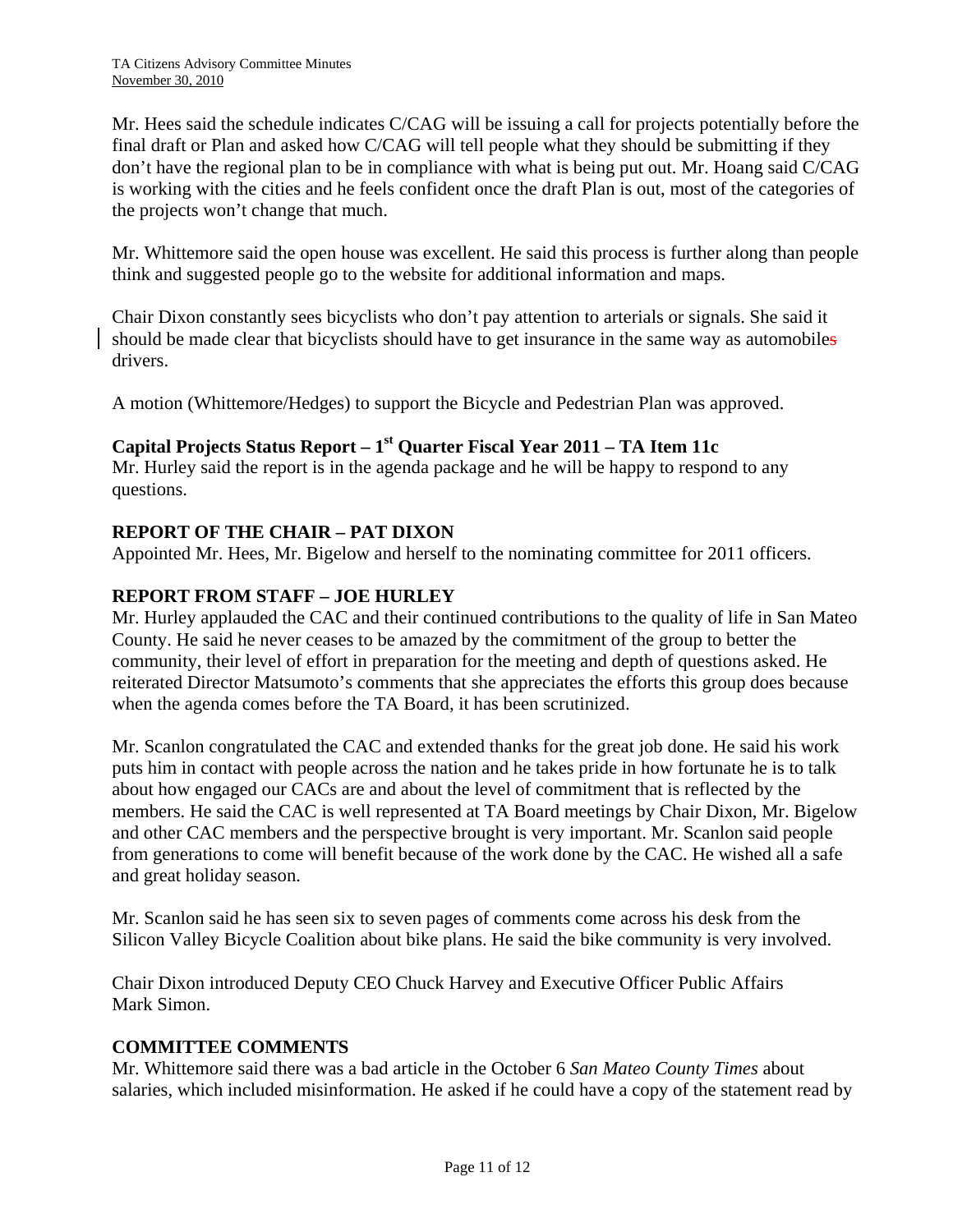Mr. Hees said the schedule indicates C/CAG will be issuing a call for projects potentially before the final draft or Plan and asked how C/CAG will tell people what they should be submitting if they don't have the regional plan to be in compliance with what is being put out. Mr. Hoang said C/CAG is working with the cities and he feels confident once the draft Plan is out, most of the categories of the projects won't change that much.

Mr. Whittemore said the open house was excellent. He said this process is further along than people think and suggested people go to the website for additional information and maps.

Chair Dixon constantly sees bicyclists who don't pay attention to arterials or signals. She said it should be made clear that bicyclists should have to get insurance in the same way as automobiles drivers.

A motion (Whittemore/Hedges) to support the Bicycle and Pedestrian Plan was approved.

## **Capital Projects Status Report – 1st Quarter Fiscal Year 2011 – TA Item 11c**

Mr. Hurley said the report is in the agenda package and he will be happy to respond to any questions.

## **REPORT OF THE CHAIR – PAT DIXON**

Appointed Mr. Hees, Mr. Bigelow and herself to the nominating committee for 2011 officers.

## **REPORT FROM STAFF – JOE HURLEY**

Mr. Hurley applauded the CAC and their continued contributions to the quality of life in San Mateo County. He said he never ceases to be amazed by the commitment of the group to better the community, their level of effort in preparation for the meeting and depth of questions asked. He reiterated Director Matsumoto's comments that she appreciates the efforts this group does because when the agenda comes before the TA Board, it has been scrutinized.

Mr. Scanlon congratulated the CAC and extended thanks for the great job done. He said his work puts him in contact with people across the nation and he takes pride in how fortunate he is to talk about how engaged our CACs are and about the level of commitment that is reflected by the members. He said the CAC is well represented at TA Board meetings by Chair Dixon, Mr. Bigelow and other CAC members and the perspective brought is very important. Mr. Scanlon said people from generations to come will benefit because of the work done by the CAC. He wished all a safe and great holiday season.

Mr. Scanlon said he has seen six to seven pages of comments come across his desk from the Silicon Valley Bicycle Coalition about bike plans. He said the bike community is very involved.

Chair Dixon introduced Deputy CEO Chuck Harvey and Executive Officer Public Affairs Mark Simon.

#### **COMMITTEE COMMENTS**

Mr. Whittemore said there was a bad article in the October 6 *San Mateo County Times* about salaries, which included misinformation. He asked if he could have a copy of the statement read by